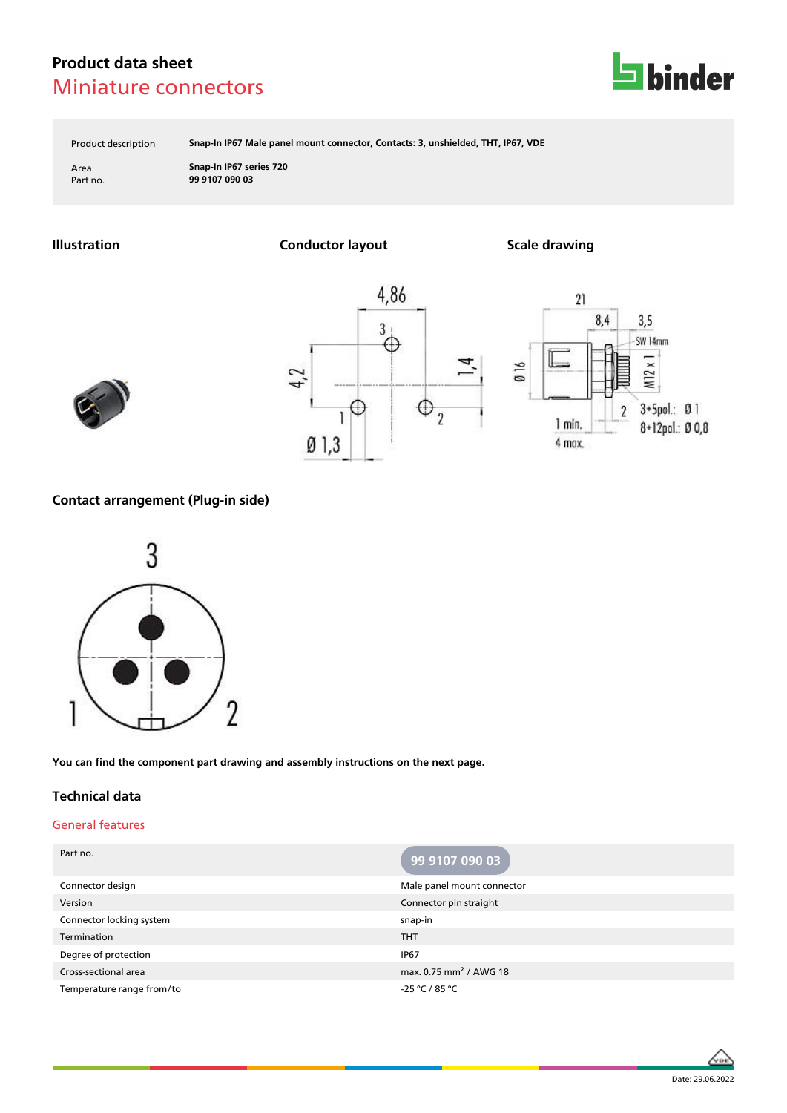

Product description **Snap-In IP67 Male panel mount connector, Contacts: 3, unshielded, THT, IP67, VDE**

Area **Snap-In IP67 series 720** Part no. **99 9107 090 03**

**Illustration Conductor layout Scale drawing**







### **Contact arrangement (Plug-in side)**



**You can find the component part drawing and assembly instructions on the next page.**

### **Technical data**

### General features

| Part no.                  | 99 9107 090 03                     |
|---------------------------|------------------------------------|
| Connector design          | Male panel mount connector         |
| Version                   | Connector pin straight             |
| Connector locking system  | snap-in                            |
| Termination               | <b>THT</b>                         |
| Degree of protection      | <b>IP67</b>                        |
| Cross-sectional area      | max. 0.75 mm <sup>2</sup> / AWG 18 |
| Temperature range from/to | -25 °C / 85 °C                     |

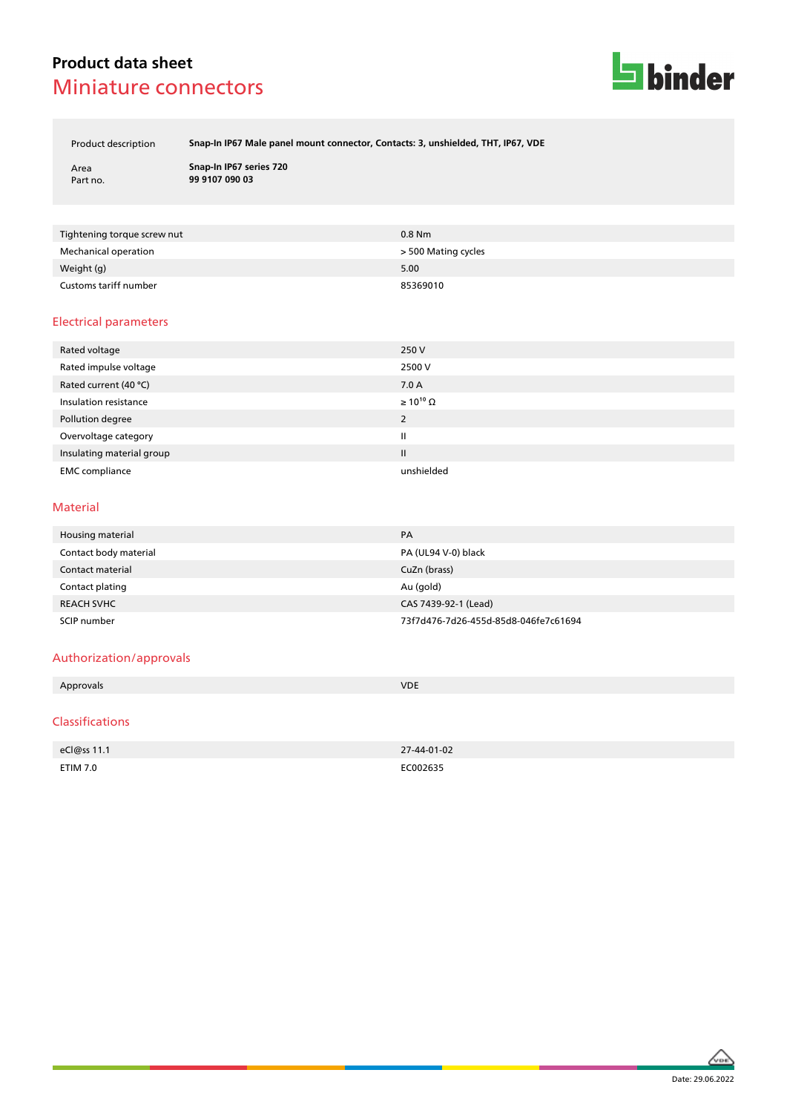

Product description **Snap-In IP67 Male panel mount connector, Contacts: 3, unshielded, THT, IP67, VDE**

Area **Snap-In IP67 series 720** Part no. **99 9107 090 03**

| Tightening torque screw nut | $0.8$ Nm            |
|-----------------------------|---------------------|
| Mechanical operation        | > 500 Mating cycles |
| Weight (g)                  | 5.00                |
| Customs tariff number       | 85369010            |

#### Electrical parameters

| Rated voltage             | 250 V                 |
|---------------------------|-----------------------|
| Rated impulse voltage     | 2500 V                |
| Rated current (40 °C)     | 7.0A                  |
| Insulation resistance     | $\geq 10^{10} \Omega$ |
| Pollution degree          | 2                     |
| Overvoltage category      | $\mathbf{I}$          |
| Insulating material group | $\mathbf{II}$         |
| <b>EMC</b> compliance     | unshielded            |

#### Material

| Housing material      | PA                                   |
|-----------------------|--------------------------------------|
| Contact body material | PA (UL94 V-0) black                  |
| Contact material      | CuZn (brass)                         |
| Contact plating       | Au (gold)                            |
| <b>REACH SVHC</b>     | CAS 7439-92-1 (Lead)                 |
| SCIP number           | 73f7d476-7d26-455d-85d8-046fe7c61694 |

### Authorization/approvals

| Approvals              | <b>VDE</b>  |
|------------------------|-------------|
|                        |             |
| <b>Classifications</b> |             |
|                        |             |
| eCl@ss 11.1            | 27-44-01-02 |
| <b>ETIM 7.0</b>        | EC002635    |
|                        |             |

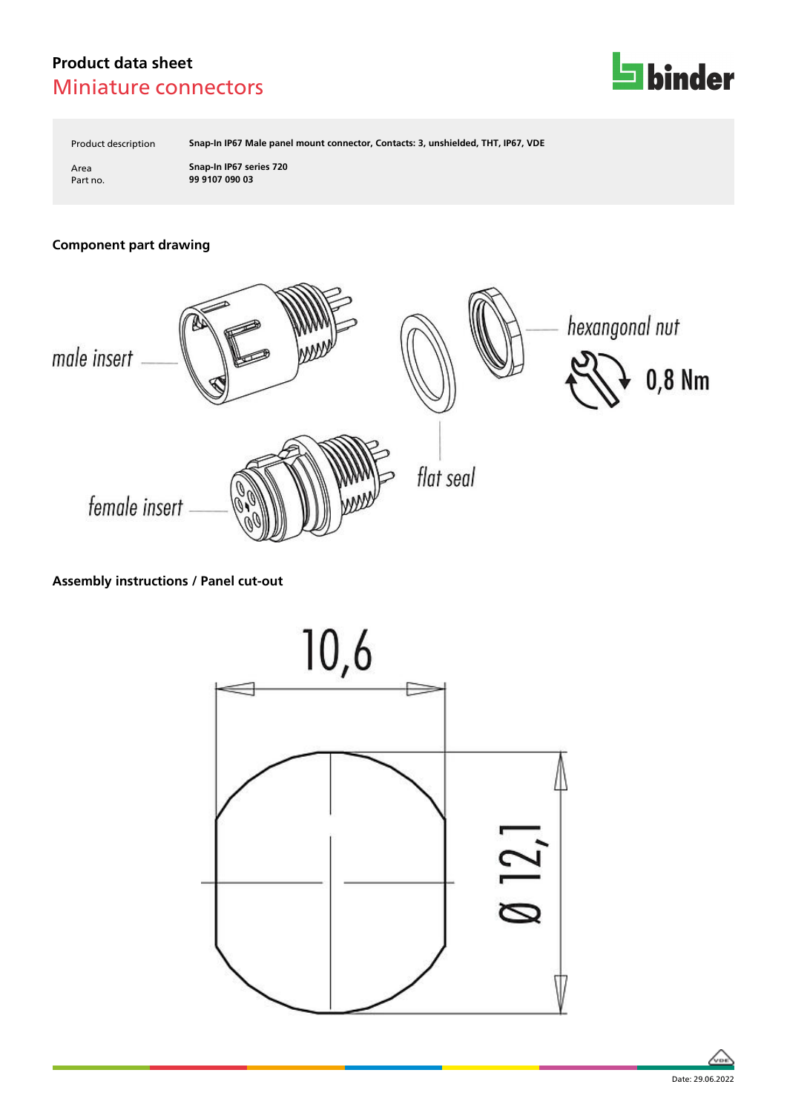

Product description **Snap-In IP67 Male panel mount connector, Contacts: 3, unshielded, THT, IP67, VDE**

Area **Snap-In IP67 series 720** Part no. **99 9107 090 03**

## **Component part drawing**



### **Assembly instructions / Panel cut-out**